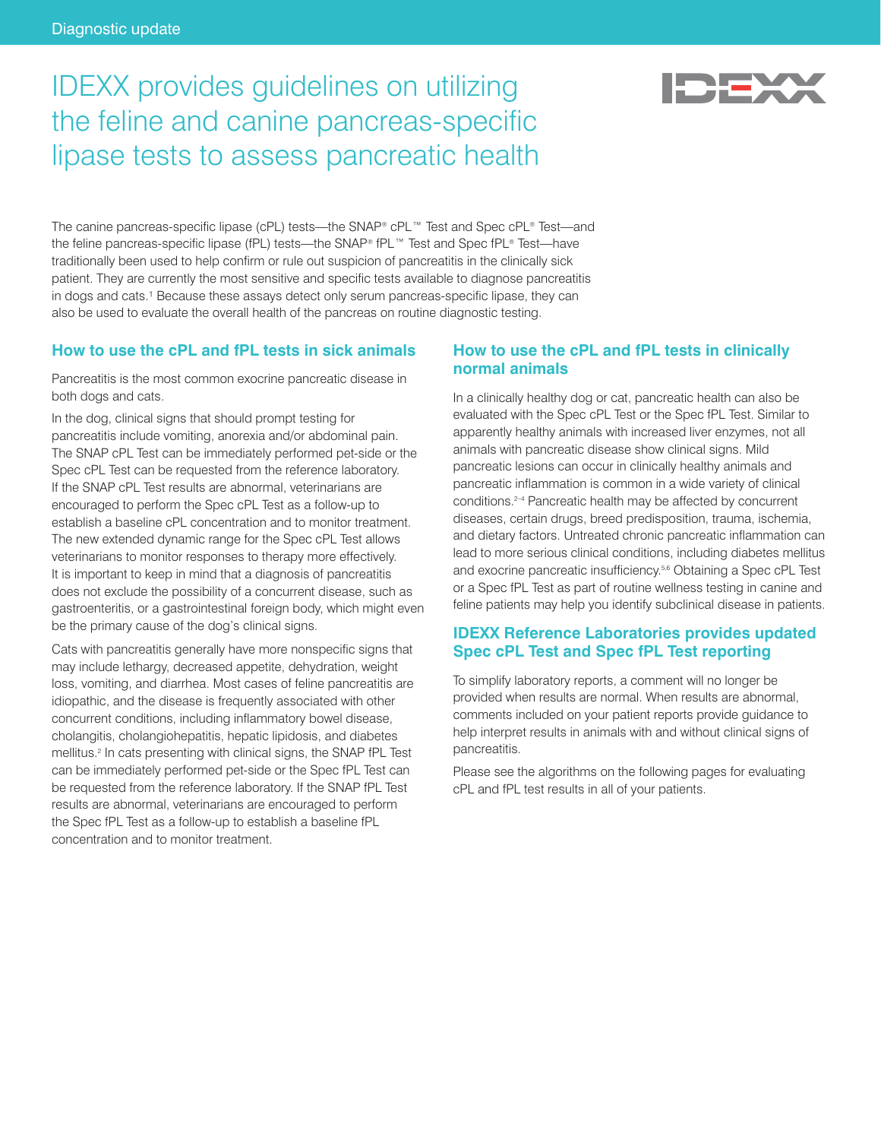# IDEXX provides guidelines on utilizing the feline and canine pancreas-specific lipase tests to assess pancreatic health

The canine pancreas-specific lipase (cPL) tests—the SNAP® cPL™ Test and Spec cPL® Test—and the feline pancreas-specific lipase (fPL) tests—the SNAP® fPL™ Test and Spec fPL® Test—have traditionally been used to help confirm or rule out suspicion of pancreatitis in the clinically sick patient. They are currently the most sensitive and specific tests available to diagnose pancreatitis in dogs and cats.<sup>1</sup> Because these assays detect only serum pancreas-specific lipase, they can also be used to evaluate the overall health of the pancreas on routine diagnostic testing.

#### **How to use the cPL and fPL tests in sick animals**

Pancreatitis is the most common exocrine pancreatic disease in both dogs and cats.

In the dog, clinical signs that should prompt testing for pancreatitis include vomiting, anorexia and/or abdominal pain. The SNAP cPL Test can be immediately performed pet-side or the Spec cPL Test can be requested from the reference laboratory. If the SNAP cPL Test results are abnormal, veterinarians are encouraged to perform the Spec cPL Test as a follow-up to establish a baseline cPL concentration and to monitor treatment. The new extended dynamic range for the Spec cPL Test allows veterinarians to monitor responses to therapy more effectively. It is important to keep in mind that a diagnosis of pancreatitis does not exclude the possibility of a concurrent disease, such as gastroenteritis, or a gastrointestinal foreign body, which might even be the primary cause of the dog's clinical signs.

Cats with pancreatitis generally have more nonspecific signs that may include lethargy, decreased appetite, dehydration, weight loss, vomiting, and diarrhea. Most cases of feline pancreatitis are idiopathic, and the disease is frequently associated with other concurrent conditions, including inflammatory bowel disease, cholangitis, cholangiohepatitis, hepatic lipidosis, and diabetes mellitus.2 In cats presenting with clinical signs, the SNAP fPL Test can be immediately performed pet-side or the Spec fPL Test can be requested from the reference laboratory. If the SNAP fPL Test results are abnormal, veterinarians are encouraged to perform the Spec fPL Test as a follow-up to establish a baseline fPL concentration and to monitor treatment.

### **How to use the cPL and fPL tests in clinically normal animals**

In a clinically healthy dog or cat, pancreatic health can also be evaluated with the Spec cPL Test or the Spec fPL Test. Similar to apparently healthy animals with increased liver enzymes, not all animals with pancreatic disease show clinical signs. Mild pancreatic lesions can occur in clinically healthy animals and pancreatic inflammation is common in a wide variety of clinical conditions.2–4 Pancreatic health may be affected by concurrent diseases, certain drugs, breed predisposition, trauma, ischemia, and dietary factors. Untreated chronic pancreatic inflammation can lead to more serious clinical conditions, including diabetes mellitus and exocrine pancreatic insufficiency.5,6 Obtaining a Spec cPL Test or a Spec fPL Test as part of routine wellness testing in canine and feline patients may help you identify subclinical disease in patients.

# **IDEXX Reference Laboratories provides updated Spec cPL Test and Spec fPL Test reporting**

To simplify laboratory reports, a comment will no longer be provided when results are normal. When results are abnormal, comments included on your patient reports provide guidance to help interpret results in animals with and without clinical signs of pancreatitis.

Please see the algorithms on the following pages for evaluating cPL and fPL test results in all of your patients.

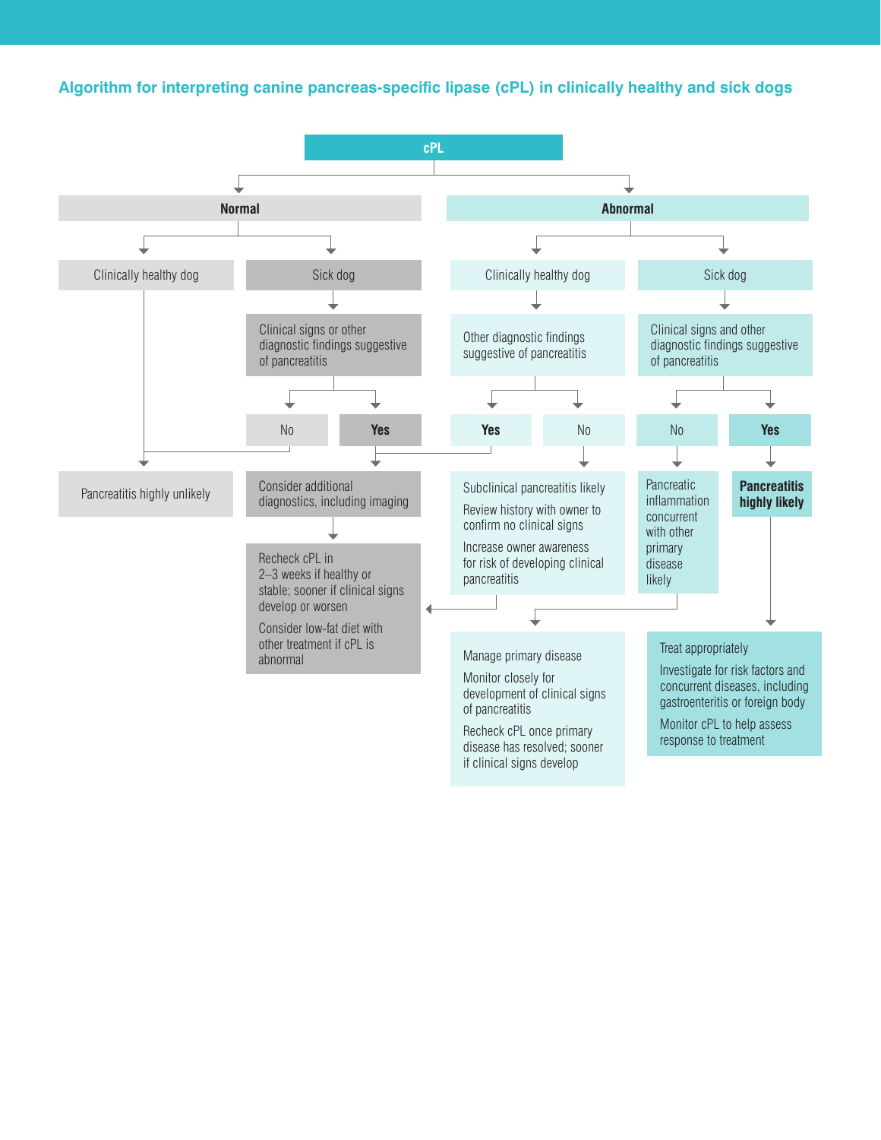# **Algorithm for interpreting canine pancreas-specific lipase (cPL) in clinically healthy and sick dogs**

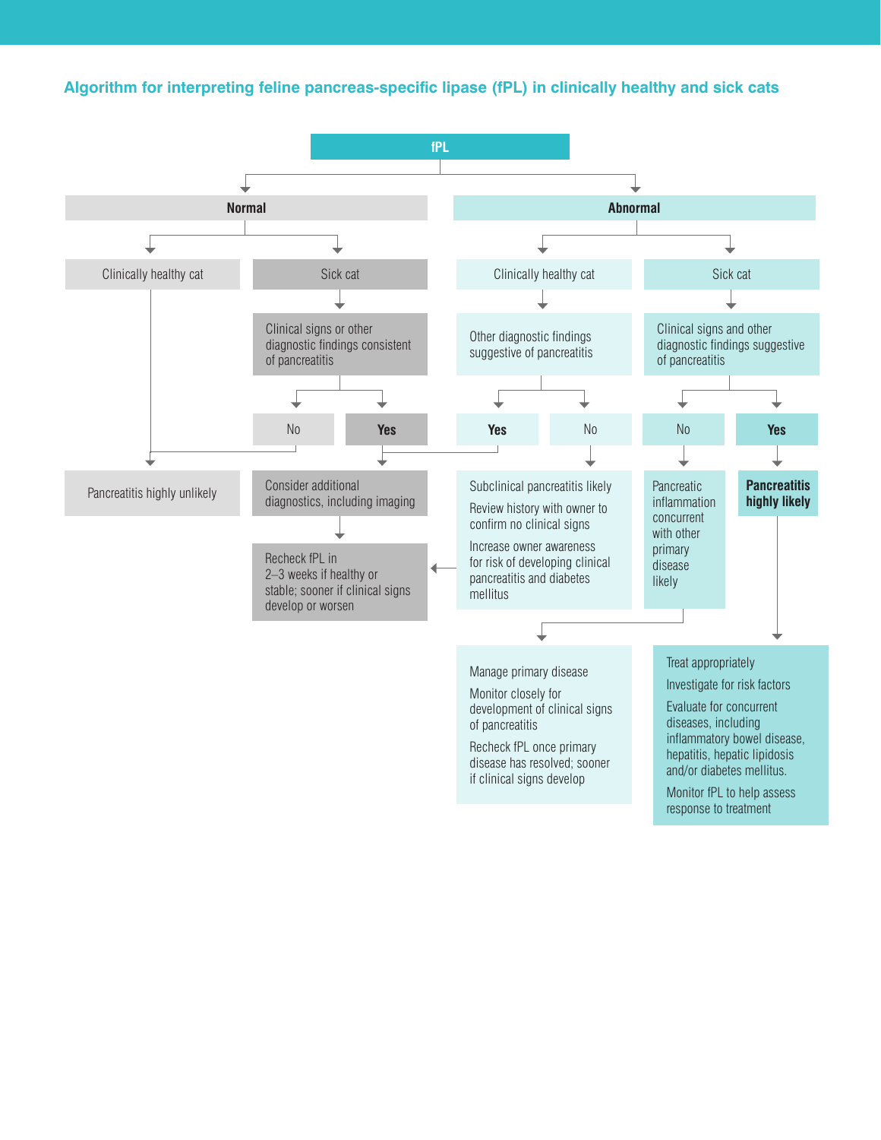# **Algorithm for interpreting feline pancreas-specific lipase (fPL) in clinically healthy and sick cats**